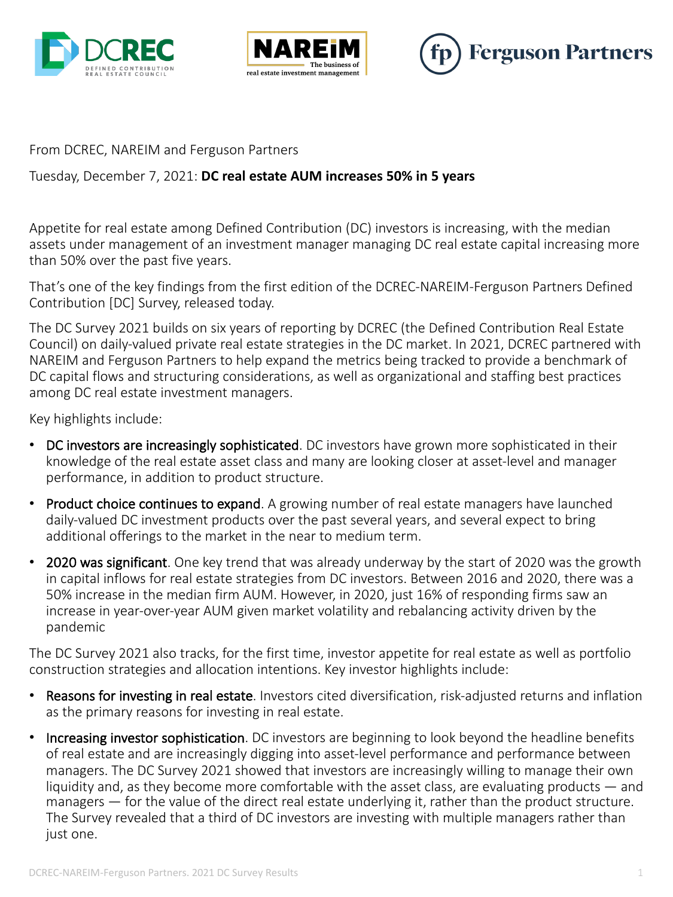





#### From DCREC, NAREIM and Ferguson Partners

### Tuesday, December 7, 2021: **DC real estate AUM increases 50% in 5 years**

Appetite for real estate among Defined Contribution (DC) investors is increasing, with the median assets under management of an investment manager managing DC real estate capital increasing more than 50% over the past five years.

That's one of the key findings from the first edition of the DCREC-NAREIM-Ferguson Partners Defined Contribution [DC] Survey, released today.

The DC Survey 2021 builds on six years of reporting by DCREC (the Defined Contribution Real Estate Council) on daily-valued private real estate strategies in the DC market. In 2021, DCREC partnered with NAREIM and Ferguson Partners to help expand the metrics being tracked to provide a benchmark of DC capital flows and structuring considerations, as well as organizational and staffing best practices among DC real estate investment managers.

Key highlights include:

- DC investors are increasingly sophisticated. DC investors have grown more sophisticated in their knowledge of the real estate asset class and many are looking closer at asset-level and manager performance, in addition to product structure.
- Product choice continues to expand. A growing number of real estate managers have launched daily-valued DC investment products over the past several years, and several expect to bring additional offerings to the market in the near to medium term.
- 2020 was significant. One key trend that was already underway by the start of 2020 was the growth in capital inflows for real estate strategies from DC investors. Between 2016 and 2020, there was a 50% increase in the median firm AUM. However, in 2020, just 16% of responding firms saw an increase in year-over-year AUM given market volatility and rebalancing activity driven by the pandemic

The DC Survey 2021 also tracks, for the first time, investor appetite for real estate as well as portfolio construction strategies and allocation intentions. Key investor highlights include:

- Reasons for investing in real estate. Investors cited diversification, risk-adjusted returns and inflation as the primary reasons for investing in real estate.
- Increasing investor sophistication. DC investors are beginning to look beyond the headline benefits of real estate and are increasingly digging into asset-level performance and performance between managers. The DC Survey 2021 showed that investors are increasingly willing to manage their own liquidity and, as they become more comfortable with the asset class, are evaluating products — and managers — for the value of the direct real estate underlying it, rather than the product structure. The Survey revealed that a third of DC investors are investing with multiple managers rather than just one.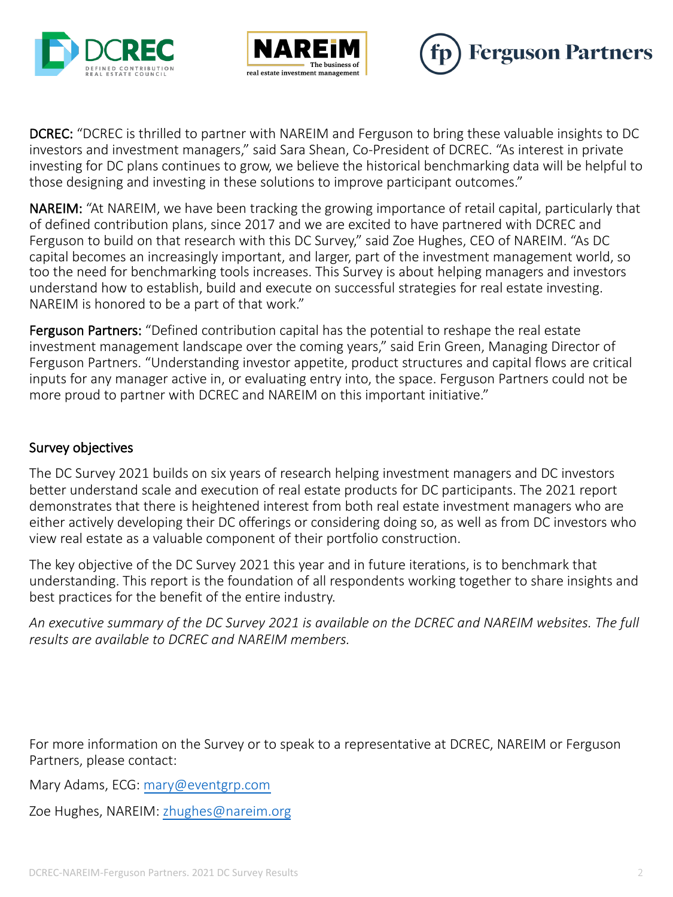





DCREC: "DCREC is thrilled to partner with NAREIM and Ferguson to bring these valuable insights to DC investors and investment managers," said Sara Shean, Co-President of DCREC. "As interest in private investing for DC plans continues to grow, we believe the historical benchmarking data will be helpful to those designing and investing in these solutions to improve participant outcomes."

NAREIM: "At NAREIM, we have been tracking the growing importance of retail capital, particularly that of defined contribution plans, since 2017 and we are excited to have partnered with DCREC and Ferguson to build on that research with this DC Survey," said Zoe Hughes, CEO of NAREIM. "As DC capital becomes an increasingly important, and larger, part of the investment management world, so too the need for benchmarking tools increases. This Survey is about helping managers and investors understand how to establish, build and execute on successful strategies for real estate investing. NAREIM is honored to be a part of that work."

Ferguson Partners: "Defined contribution capital has the potential to reshape the real estate investment management landscape over the coming years," said Erin Green, Managing Director of Ferguson Partners. "Understanding investor appetite, product structures and capital flows are critical inputs for any manager active in, or evaluating entry into, the space. Ferguson Partners could not be more proud to partner with DCREC and NAREIM on this important initiative."

### Survey objectives

The DC Survey 2021 builds on six years of research helping investment managers and DC investors better understand scale and execution of real estate products for DC participants. The 2021 report demonstrates that there is heightened interest from both real estate investment managers who are either actively developing their DC offerings or considering doing so, as well as from DC investors who view real estate as a valuable component of their portfolio construction.

The key objective of the DC Survey 2021 this year and in future iterations, is to benchmark that understanding. This report is the foundation of all respondents working together to share insights and best practices for the benefit of the entire industry.

*An executive summary of the DC Survey 2021 is available on the DCREC and NAREIM websites. The full results are available to DCREC and NAREIM members.* 

For more information on the Survey or to speak to a representative at DCREC, NAREIM or Ferguson Partners, please contact:

Mary Adams, ECG: mary@eventgrp.com

Zoe Hughes, NAREIM: zhughes@nareim.org